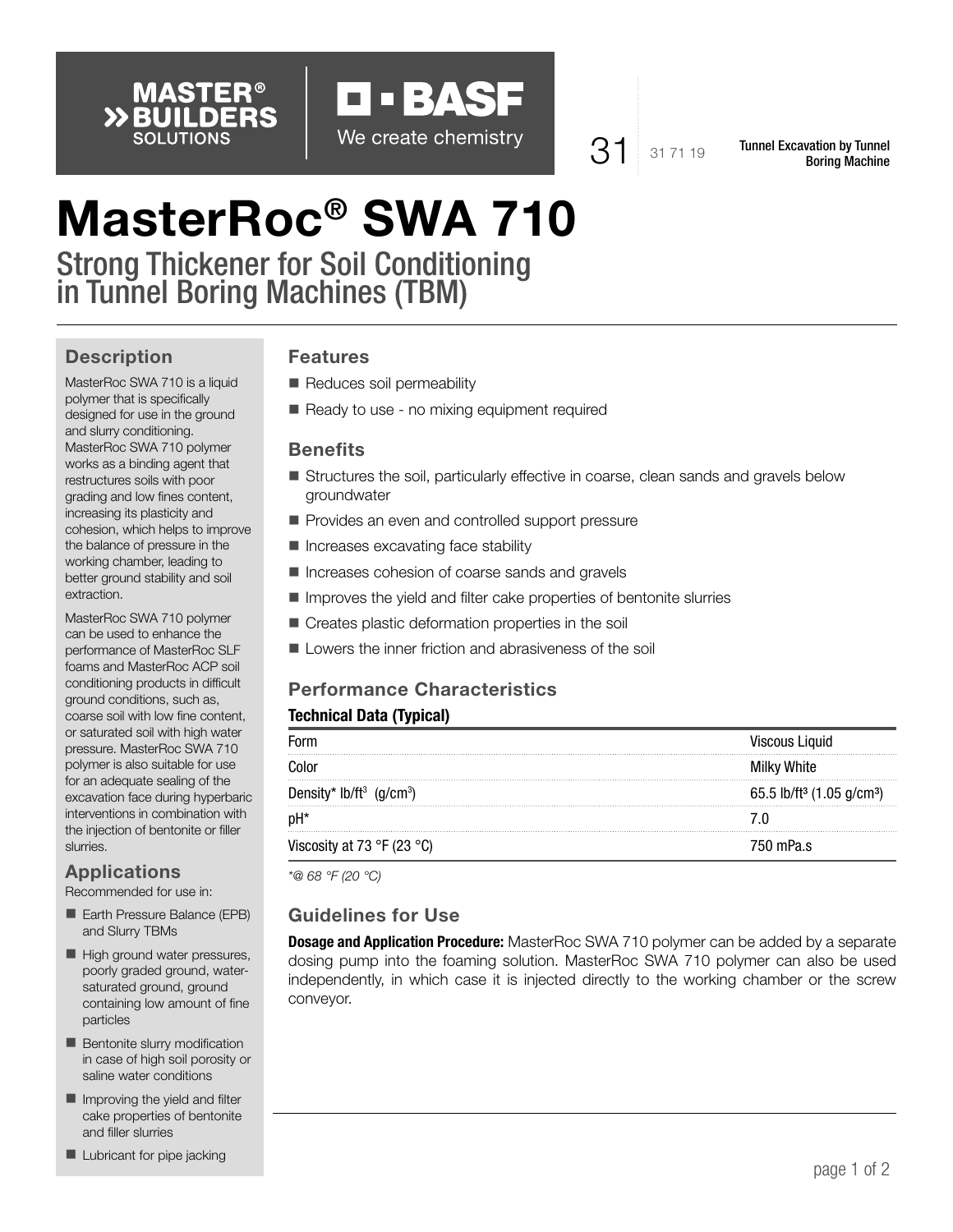



 $31$  31 71 19 Tunnel Excavation by Tunnel Boring Machine

# MasterRoc® SWA 710

Strong Thickener for Soil Conditioning in Tunnel Boring Machines (TBM)

## **Description**

MasterRoc SWA 710 is a liquid polymer that is specifically designed for use in the ground and slurry conditioning. MasterRoc SWA 710 polymer works as a binding agent that restructures soils with poor grading and low fines content, increasing its plasticity and cohesion, which helps to improve the balance of pressure in the working chamber, leading to better ground stability and soil extraction.

MasterRoc SWA 710 polymer can be used to enhance the performance of MasterRoc SLF foams and MasterRoc ACP soil conditioning products in difficult ground conditions, such as, coarse soil with low fine content, or saturated soil with high water pressure. MasterRoc SWA 710 polymer is also suitable for use for an adequate sealing of the excavation face during hyperbaric interventions in combination with the injection of bentonite or filler slurries.

## Applications

Recommended for use in:

- Earth Pressure Balance (EPB) and Slurry TBMs
- High ground water pressures, poorly graded ground, watersaturated ground, ground containing low amount of fine particles
- Bentonite slurry modification in case of high soil porosity or saline water conditions
- $\blacksquare$  Improving the yield and filter cake properties of bentonite and filler slurries
- **Lubricant for pipe jacking**

## Features

- Reduces soil permeability
- Ready to use no mixing equipment required

#### **Benefits**

- **Structures the soil, particularly effective in coarse, clean sands and gravels below** groundwater
- Provides an even and controlled support pressure
- **Increases excavating face stability**
- Increases cohesion of coarse sands and gravels
- **In Improves the yield and filter cake properties of bentonite slurries**
- Creates plastic deformation properties in the soil
- Lowers the inner friction and abrasiveness of the soil

## Performance Characteristics

#### Technical Data (Typical)

| Form                                             | <b>Viscous Liquid</b>                             |
|--------------------------------------------------|---------------------------------------------------|
| Color                                            | Milky White                                       |
| Density* lb/ft <sup>3</sup> (g/cm <sup>3</sup> ) | 65.5 lb/ft <sup>3</sup> (1.05 g/cm <sup>3</sup> ) |
| pH*                                              |                                                   |
| Viscosity at 73 °F (23 °C)                       | 750 mPa.s                                         |

*\*@ 68 °F (20 °C)*

#### Guidelines for Use

**Dosage and Application Procedure:** MasterRoc SWA 710 polymer can be added by a separate dosing pump into the foaming solution. MasterRoc SWA 710 polymer can also be used independently, in which case it is injected directly to the working chamber or the screw conveyor.